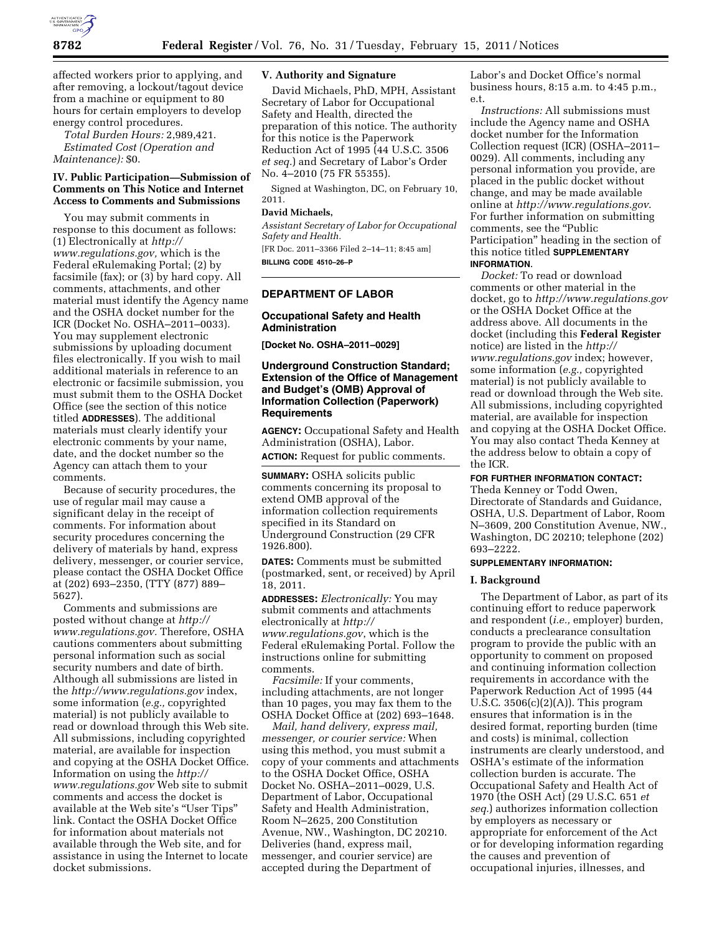

affected workers prior to applying, and after removing, a lockout/tagout device from a machine or equipment to 80 hours for certain employers to develop energy control procedures.

*Total Burden Hours:* 2,989,421. *Estimated Cost (Operation and Maintenance):* \$0.

### **IV. Public Participation—Submission of Comments on This Notice and Internet Access to Comments and Submissions**

You may submit comments in response to this document as follows: (1) Electronically at *[http://](http://www.regulations.gov)  [www.regulations.gov,](http://www.regulations.gov)* which is the Federal eRulemaking Portal; (2) by facsimile (fax); or (3) by hard copy. All comments, attachments, and other material must identify the Agency name and the OSHA docket number for the ICR (Docket No. OSHA–2011–0033). You may supplement electronic submissions by uploading document files electronically. If you wish to mail additional materials in reference to an electronic or facsimile submission, you must submit them to the OSHA Docket Office (see the section of this notice titled **ADDRESSES**). The additional materials must clearly identify your electronic comments by your name, date, and the docket number so the Agency can attach them to your comments.

Because of security procedures, the use of regular mail may cause a significant delay in the receipt of comments. For information about security procedures concerning the delivery of materials by hand, express delivery, messenger, or courier service, please contact the OSHA Docket Office at (202) 693–2350, (TTY (877) 889– 5627).

Comments and submissions are posted without change at *[http://](http://www.regulations.gov)  [www.regulations.gov.](http://www.regulations.gov)* Therefore, OSHA cautions commenters about submitting personal information such as social security numbers and date of birth. Although all submissions are listed in the *<http://www.regulations.gov>*index, some information (*e.g.,* copyrighted material) is not publicly available to read or download through this Web site. All submissions, including copyrighted material, are available for inspection and copying at the OSHA Docket Office. Information on using the *[http://](http://www.regulations.gov) [www.regulations.gov](http://www.regulations.gov)* Web site to submit comments and access the docket is available at the Web site's ''User Tips'' link. Contact the OSHA Docket Office for information about materials not available through the Web site, and for assistance in using the Internet to locate docket submissions.

### **V. Authority and Signature**

David Michaels, PhD, MPH, Assistant Secretary of Labor for Occupational Safety and Health, directed the preparation of this notice. The authority for this notice is the Paperwork Reduction Act of 1995 (44 U.S.C. 3506 *et seq.*) and Secretary of Labor's Order No. 4–2010 (75 FR 55355).

Signed at Washington, DC, on February 10, 2011.

### **David Michaels,**

*Assistant Secretary of Labor for Occupational Safety and Health.* 

[FR Doc. 2011–3366 Filed 2–14–11; 8:45 am] **BILLING CODE 4510–26–P** 

## **DEPARTMENT OF LABOR**

### **Occupational Safety and Health Administration**

**[Docket No. OSHA–2011–0029]** 

## **Underground Construction Standard; Extension of the Office of Management and Budget's (OMB) Approval of Information Collection (Paperwork) Requirements**

**AGENCY:** Occupational Safety and Health Administration (OSHA), Labor. **ACTION:** Request for public comments.

**SUMMARY:** OSHA solicits public comments concerning its proposal to extend OMB approval of the information collection requirements specified in its Standard on Underground Construction (29 CFR 1926.800).

**DATES:** Comments must be submitted (postmarked, sent, or received) by April 18, 2011.

**ADDRESSES:** *Electronically:* You may submit comments and attachments electronically at *[http://](http://www.regulations.gov) [www.regulations.gov](http://www.regulations.gov)*, which is the Federal eRulemaking Portal. Follow the instructions online for submitting comments.

*Facsimile:* If your comments, including attachments, are not longer than 10 pages, you may fax them to the OSHA Docket Office at (202) 693–1648.

*Mail, hand delivery, express mail, messenger, or courier service:* When using this method, you must submit a copy of your comments and attachments to the OSHA Docket Office, OSHA Docket No. OSHA–2011–0029, U.S. Department of Labor, Occupational Safety and Health Administration, Room N–2625, 200 Constitution Avenue, NW., Washington, DC 20210. Deliveries (hand, express mail, messenger, and courier service) are accepted during the Department of

Labor's and Docket Office's normal business hours, 8:15 a.m. to 4:45 p.m., e.t.

*Instructions:* All submissions must include the Agency name and OSHA docket number for the Information Collection request (ICR) (OSHA–2011– 0029). All comments, including any personal information you provide, are placed in the public docket without change, and may be made available online at *<http://www.regulations.gov>*. For further information on submitting comments, see the "Public Participation'' heading in the section of this notice titled **SUPPLEMENTARY INFORMATION**.

*Docket:* To read or download comments or other material in the docket, go to *<http://www.regulations.gov>*  or the OSHA Docket Office at the address above. All documents in the docket (including this **Federal Register**  notice) are listed in the *[http://](http://www.regulations.gov) [www.regulations.gov](http://www.regulations.gov)* index; however, some information (*e.g.,* copyrighted material) is not publicly available to read or download through the Web site. All submissions, including copyrighted material, are available for inspection and copying at the OSHA Docket Office. You may also contact Theda Kenney at the address below to obtain a copy of the ICR.

#### **FOR FURTHER INFORMATION CONTACT:**

Theda Kenney or Todd Owen, Directorate of Standards and Guidance, OSHA, U.S. Department of Labor, Room N–3609, 200 Constitution Avenue, NW., Washington, DC 20210; telephone (202) 693–2222.

### **SUPPLEMENTARY INFORMATION:**

### **I. Background**

The Department of Labor, as part of its continuing effort to reduce paperwork and respondent (*i.e.,* employer) burden, conducts a preclearance consultation program to provide the public with an opportunity to comment on proposed and continuing information collection requirements in accordance with the Paperwork Reduction Act of 1995 (44 U.S.C. 3506(c)(2)(A)). This program ensures that information is in the desired format, reporting burden (time and costs) is minimal, collection instruments are clearly understood, and OSHA's estimate of the information collection burden is accurate. The Occupational Safety and Health Act of 1970 (the OSH Act) (29 U.S.C. 651 *et seq.*) authorizes information collection by employers as necessary or appropriate for enforcement of the Act or for developing information regarding the causes and prevention of occupational injuries, illnesses, and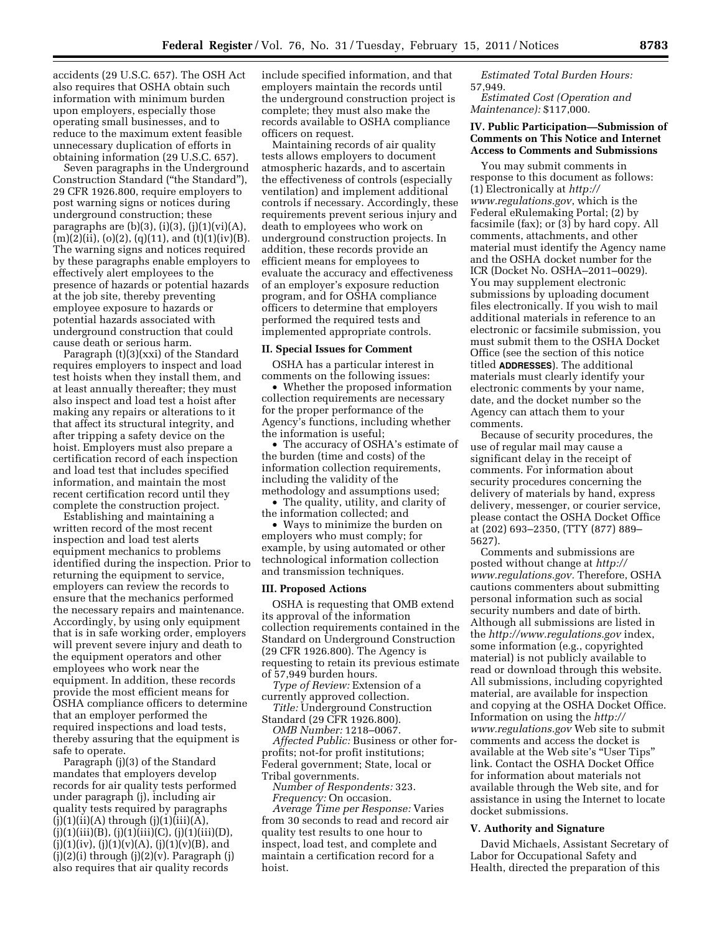accidents (29 U.S.C. 657). The OSH Act also requires that OSHA obtain such information with minimum burden upon employers, especially those operating small businesses, and to reduce to the maximum extent feasible unnecessary duplication of efforts in obtaining information (29 U.S.C. 657).

Seven paragraphs in the Underground Construction Standard (''the Standard''), 29 CFR 1926.800, require employers to post warning signs or notices during underground construction; these paragraphs are  $(b)(3)$ ,  $(i)(3)$ ,  $(j)(1)(vi)(A)$ ,  $(m)(2)(ii)$ ,  $(o)(2)$ ,  $(q)(11)$ , and  $(t)(1)(iv)(B)$ . The warning signs and notices required by these paragraphs enable employers to effectively alert employees to the presence of hazards or potential hazards at the job site, thereby preventing employee exposure to hazards or potential hazards associated with underground construction that could cause death or serious harm.

Paragraph (t)(3)(xxi) of the Standard requires employers to inspect and load test hoists when they install them, and at least annually thereafter; they must also inspect and load test a hoist after making any repairs or alterations to it that affect its structural integrity, and after tripping a safety device on the hoist. Employers must also prepare a certification record of each inspection and load test that includes specified information, and maintain the most recent certification record until they complete the construction project.

Establishing and maintaining a written record of the most recent inspection and load test alerts equipment mechanics to problems identified during the inspection. Prior to returning the equipment to service, employers can review the records to ensure that the mechanics performed the necessary repairs and maintenance. Accordingly, by using only equipment that is in safe working order, employers will prevent severe injury and death to the equipment operators and other employees who work near the equipment. In addition, these records provide the most efficient means for OSHA compliance officers to determine that an employer performed the required inspections and load tests, thereby assuring that the equipment is safe to operate.

Paragraph (j)(3) of the Standard mandates that employers develop records for air quality tests performed under paragraph (j), including air quality tests required by paragraphs  $(j)(1)(ii)(A)$  through  $(j)(1)(iii)(A)$ ,  $(j)(1)(iii)(B), (j)(1)(iii)(C), (j)(1)(iii)(D),$  $(j)(1)(iv)$ ,  $(j)(1)(v)(A)$ ,  $(j)(1)(v)(B)$ , and  $(j)(2)(i)$  through  $(j)(2)(v)$ . Paragraph  $(j)$ also requires that air quality records

include specified information, and that employers maintain the records until the underground construction project is complete; they must also make the records available to OSHA compliance officers on request.

Maintaining records of air quality tests allows employers to document atmospheric hazards, and to ascertain the effectiveness of controls (especially ventilation) and implement additional controls if necessary. Accordingly, these requirements prevent serious injury and death to employees who work on underground construction projects. In addition, these records provide an efficient means for employees to evaluate the accuracy and effectiveness of an employer's exposure reduction program, and for OSHA compliance officers to determine that employers performed the required tests and implemented appropriate controls.

### **II. Special Issues for Comment**

OSHA has a particular interest in comments on the following issues:

• Whether the proposed information collection requirements are necessary for the proper performance of the Agency's functions, including whether the information is useful;

• The accuracy of OSHA's estimate of the burden (time and costs) of the information collection requirements, including the validity of the methodology and assumptions used;

• The quality, utility, and clarity of the information collected; and

• Ways to minimize the burden on employers who must comply; for example, by using automated or other technological information collection and transmission techniques.

### **III. Proposed Actions**

OSHA is requesting that OMB extend its approval of the information collection requirements contained in the Standard on Underground Construction (29 CFR 1926.800). The Agency is requesting to retain its previous estimate of 57,949 burden hours.

*Type of Review:* Extension of a currently approved collection.

*Title:* Underground Construction Standard (29 CFR 1926.800).

*OMB Number:* 1218–0067.

*Affected Public:* Business or other forprofits; not-for profit institutions; Federal government; State, local or Tribal governments.

*Number of Respondents:* 323. *Frequency:* On occasion.

*Average Time per Response:* Varies from 30 seconds to read and record air quality test results to one hour to inspect, load test, and complete and maintain a certification record for a hoist.

*Estimated Total Burden Hours:*  57,949.

*Estimated Cost (Operation and Maintenance):* \$117,000.

## **IV. Public Participation—Submission of Comments on This Notice and Internet Access to Comments and Submissions**

You may submit comments in response to this document as follows: (1) Electronically at *[http://](http://www.regulations.gov)  [www.regulations.gov](http://www.regulations.gov)*, which is the Federal eRulemaking Portal; (2) by facsimile (fax); or (3) by hard copy. All comments, attachments, and other material must identify the Agency name and the OSHA docket number for the ICR (Docket No. OSHA–2011–0029). You may supplement electronic submissions by uploading document files electronically. If you wish to mail additional materials in reference to an electronic or facsimile submission, you must submit them to the OSHA Docket Office (see the section of this notice titled **ADDRESSES**). The additional materials must clearly identify your electronic comments by your name, date, and the docket number so the Agency can attach them to your comments.

Because of security procedures, the use of regular mail may cause a significant delay in the receipt of comments. For information about security procedures concerning the delivery of materials by hand, express delivery, messenger, or courier service, please contact the OSHA Docket Office at (202) 693–2350, (TTY (877) 889– 5627).

Comments and submissions are posted without change at *[http://](http://www.regulations.gov)  [www.regulations.gov.](http://www.regulations.gov)* Therefore, OSHA cautions commenters about submitting personal information such as social security numbers and date of birth. Although all submissions are listed in the *<http://www.regulations.gov>*index, some information (e.g., copyrighted material) is not publicly available to read or download through this website. All submissions, including copyrighted material, are available for inspection and copying at the OSHA Docket Office. Information on using the *[http://](http://www.regulations.gov) [www.regulations.gov](http://www.regulations.gov)* Web site to submit comments and access the docket is available at the Web site's ''User Tips'' link. Contact the OSHA Docket Office for information about materials not available through the Web site, and for assistance in using the Internet to locate docket submissions.

### **V. Authority and Signature**

David Michaels, Assistant Secretary of Labor for Occupational Safety and Health, directed the preparation of this